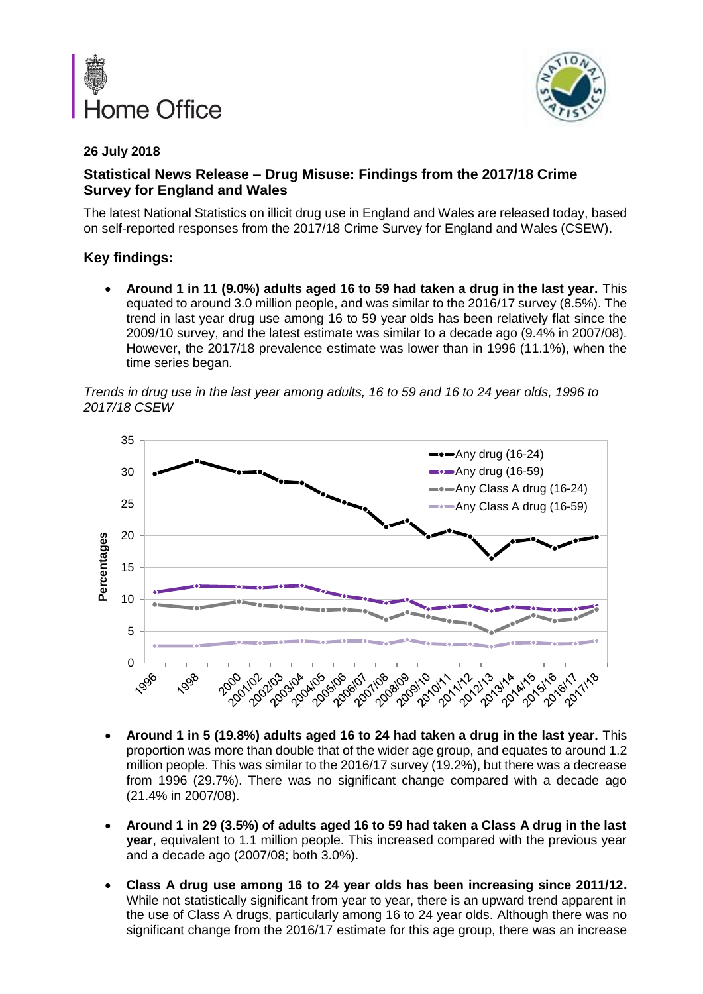



### **26 July 2018**

# **Statistical News Release – Drug Misuse: Findings from the 2017/18 Crime Survey for England and Wales**

The latest National Statistics on illicit drug use in England and Wales are released today, based on self-reported responses from the 2017/18 Crime Survey for England and Wales (CSEW).

# **Key findings:**

• **Around 1 in 11 (9.0%) adults aged 16 to 59 had taken a drug in the last year.** This equated to around 3.0 million people, and was similar to the 2016/17 survey (8.5%). The trend in last year drug use among 16 to 59 year olds has been relatively flat since the 2009/10 survey, and the latest estimate was similar to a decade ago (9.4% in 2007/08). However, the 2017/18 prevalence estimate was lower than in 1996 (11.1%), when the time series began.

*Trends in drug use in the last year among adults, 16 to 59 and 16 to 24 year olds, 1996 to 2017/18 CSEW*



- **Around 1 in 5 (19.8%) adults aged 16 to 24 had taken a drug in the last year.** This proportion was more than double that of the wider age group, and equates to around 1.2 million people. This was similar to the 2016/17 survey (19.2%), but there was a decrease from 1996 (29.7%). There was no significant change compared with a decade ago (21.4% in 2007/08).
- **Around 1 in 29 (3.5%) of adults aged 16 to 59 had taken a Class A drug in the last year**, equivalent to 1.1 million people. This increased compared with the previous year and a decade ago (2007/08; both 3.0%).
- **Class A drug use among 16 to 24 year olds has been increasing since 2011/12.** While not statistically significant from year to year, there is an upward trend apparent in the use of Class A drugs, particularly among 16 to 24 year olds. Although there was no significant change from the 2016/17 estimate for this age group, there was an increase